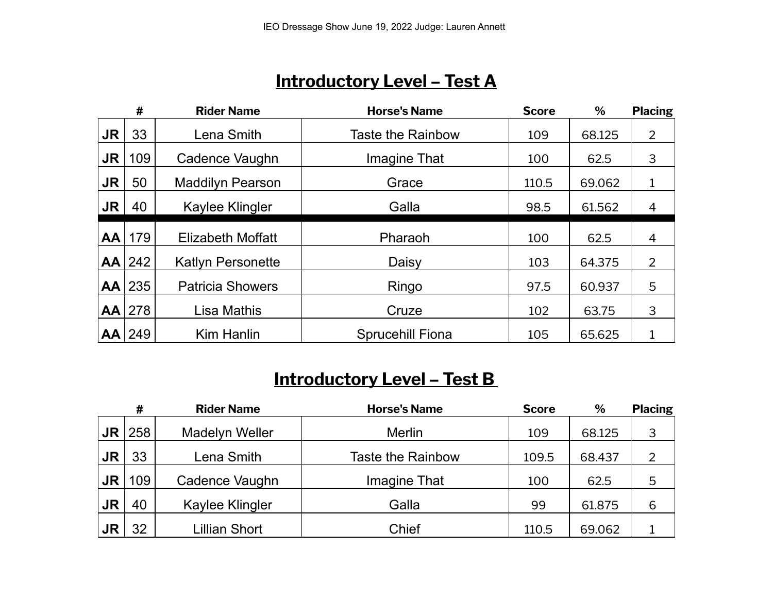### **Introductory Level – Test A**

|           | #        | <b>Rider Name</b>        | <b>Horse's Name</b>      | <b>Score</b> | %      | <b>Placing</b> |
|-----------|----------|--------------------------|--------------------------|--------------|--------|----------------|
| <b>JR</b> | 33       | Lena Smith               | <b>Taste the Rainbow</b> | 109          | 68.125 | 2              |
| <b>JR</b> | 109      | Cadence Vaughn           | Imagine That             | 100          | 62.5   | 3              |
| <b>JR</b> | 50       | <b>Maddilyn Pearson</b>  | Grace                    | 110.5        | 69.062 | $\mathbf 1$    |
| <b>JR</b> | 40       | Kaylee Klingler          | Galla                    | 98.5         | 61.562 | 4              |
| AA        | 179      | Elizabeth Moffatt        | Pharaoh                  | 100          | 62.5   | $\overline{4}$ |
| AA        | 242      | <b>Katlyn Personette</b> | Daisy                    | 103          | 64.375 | 2              |
|           | $AA$ 235 | <b>Patricia Showers</b>  | Ringo                    | 97.5         | 60.937 | 5              |
| AA        | 278      | Lisa Mathis              | Cruze                    | 102          | 63.75  | 3              |
| AA        | 249      | <b>Kim Hanlin</b>        | <b>Sprucehill Fiona</b>  | 105          | 65.625 |                |

### **Introductory Level – Test B**

|           | #   | <b>Rider Name</b> | <b>Horse's Name</b>      | <b>Score</b> | %      | <b>Placing</b> |
|-----------|-----|-------------------|--------------------------|--------------|--------|----------------|
| <b>JR</b> | 258 | Madelyn Weller    | <b>Merlin</b>            | 109          | 68.125 | 3              |
| <b>JR</b> | 33  | Lena Smith        | <b>Taste the Rainbow</b> | 109.5        | 68.437 | $\overline{2}$ |
| JR        | 109 | Cadence Vaughn    | Imagine That             | 100          | 62.5   | 5              |
| <b>JR</b> | 40  | Kaylee Klingler   | Galla                    | 99           | 61.875 | 6              |
| JR        | 32  | Lillian Short     | Chief                    | 110.5        | 69.062 |                |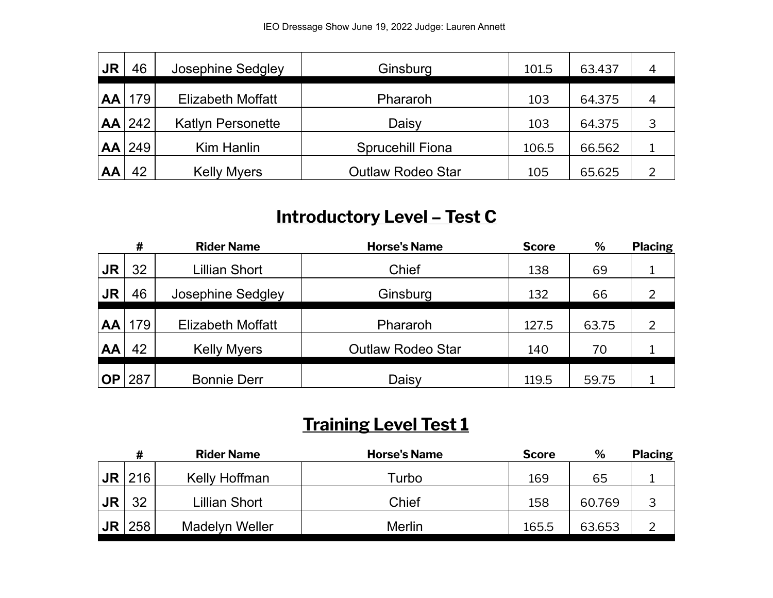| <b>JR</b> | 46       | Josephine Sedgley        | Ginsburg                 | 101.5 | 63.437 | 4 |
|-----------|----------|--------------------------|--------------------------|-------|--------|---|
| <b>AA</b> | 179      | <b>Elizabeth Moffatt</b> | Phararoh                 | 103   | 64.375 | 4 |
|           | $AA$ 242 | <b>Katlyn Personette</b> | Daisy                    | 103   | 64.375 |   |
|           | $AA$ 249 | Kim Hanlin               | <b>Sprucehill Fiona</b>  | 106.5 | 66.562 |   |
| AA        | 42       | <b>Kelly Myers</b>       | <b>Outlaw Rodeo Star</b> | 105   | 65.625 |   |

# **Introductory Level – Test C**

|           | #   | <b>Rider Name</b>        | <b>Horse's Name</b>      | <b>Score</b> | %     | <b>Placing</b> |
|-----------|-----|--------------------------|--------------------------|--------------|-------|----------------|
| JR        | 32  | <b>Lillian Short</b>     | Chief                    | 138          | 69    |                |
| JR        | 46  | Josephine Sedgley        | Ginsburg                 | 132          | 66    |                |
| <b>AA</b> | 179 | <b>Elizabeth Moffatt</b> | Phararoh                 | 127.5        | 63.75 | 2              |
| AA        | 42  | <b>Kelly Myers</b>       | <b>Outlaw Rodeo Star</b> | 140          | 70    |                |
| <b>OP</b> | 287 | <b>Bonnie Derr</b>       | Daisy                    | 119.5        | 59.75 |                |

## **Training Level Test 1**

| #   | <b>Rider Name</b>     | <b>Horse's Name</b> | <b>Score</b> | %      | <b>Placing</b> |
|-----|-----------------------|---------------------|--------------|--------|----------------|
| 216 | Kelly Hoffman         | Turbo               | 169          | 65     |                |
| 32  | Lillian Short         | Chief               | 158          | 60.769 | 3              |
| 258 | <b>Madelyn Weller</b> | <b>Merlin</b>       | 165.5        | 63.653 | ົ              |
|     |                       |                     |              |        |                |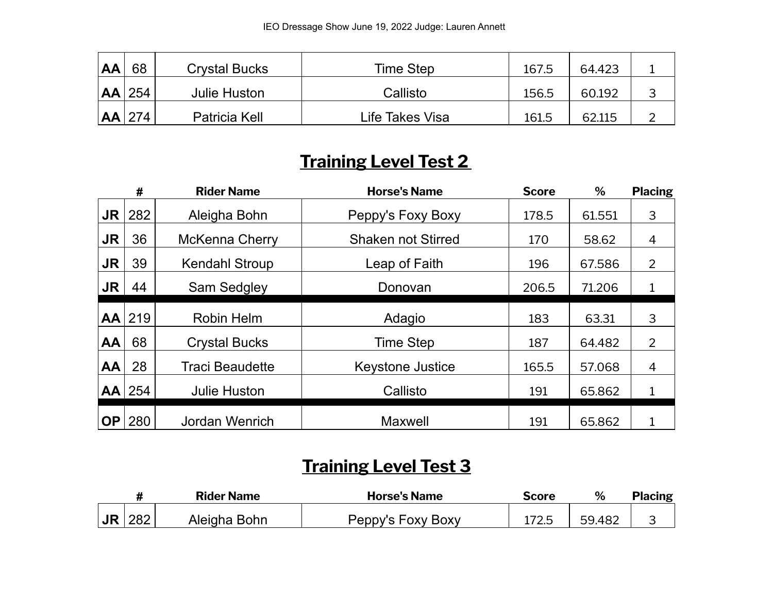| AA | 68  | <b>Crystal Bucks</b> | Time Step       | 167.5 | 64.423 |  |
|----|-----|----------------------|-----------------|-------|--------|--|
| AA | 254 | <b>Julie Huston</b>  | Callisto        | 156.5 | 60.192 |  |
| AA | 274 | Patricia Kell        | Life Takes Visa | 161.5 | 62.115 |  |

### **Training Level Test 2**

|           | #        | <b>Rider Name</b>      | <b>Horse's Name</b>       | <b>Score</b> | %      | <b>Placing</b> |
|-----------|----------|------------------------|---------------------------|--------------|--------|----------------|
| <b>JR</b> | 282      | Aleigha Bohn           | Peppy's Foxy Boxy         | 178.5        | 61.551 | 3              |
| <b>JR</b> | 36       | <b>McKenna Cherry</b>  | <b>Shaken not Stirred</b> | 170          | 58.62  | 4              |
| <b>JR</b> | 39       | <b>Kendahl Stroup</b>  | Leap of Faith             | 196          | 67.586 | $\overline{2}$ |
| <b>JR</b> | 44       | Sam Sedgley            | Donovan                   | 206.5        | 71.206 |                |
| <b>AA</b> | 219      | Robin Helm             | Adagio                    | 183          | 63.31  | 3              |
| AA        | 68       | <b>Crystal Bucks</b>   | <b>Time Step</b>          | 187          | 64.482 | 2              |
| AA        | 28       | <b>Traci Beaudette</b> | <b>Keystone Justice</b>   | 165.5        | 57.068 | 4              |
|           | $AA$ 254 | <b>Julie Huston</b>    | Callisto                  | 191          | 65.862 |                |
| <b>OP</b> | 280      | Jordan Wenrich         | <b>Maxwell</b>            | 191          | 65.862 |                |

## **Training Level Test 3**

|           |     | <b>Rider Name</b> | <b>Horse's Name</b> | Score | %      | <b>Placing</b> |
|-----------|-----|-------------------|---------------------|-------|--------|----------------|
| <b>JR</b> | 282 | Aleigha Bohn      | Peppy's Foxy Boxy   | 172.J | 59.482 |                |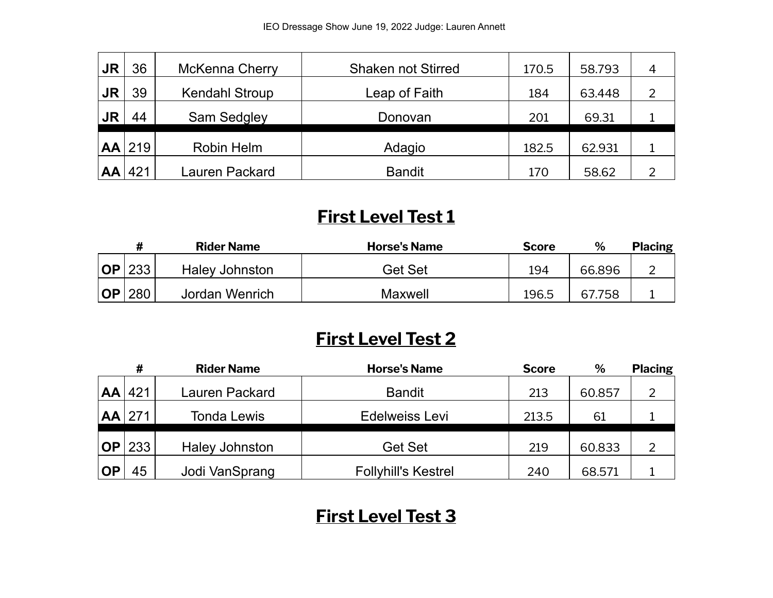| <b>JR</b> | 36       | McKenna Cherry        | <b>Shaken not Stirred</b> | 170.5 | 58.793 | 4 |
|-----------|----------|-----------------------|---------------------------|-------|--------|---|
| <b>JR</b> | 39       | <b>Kendahl Stroup</b> | Leap of Faith             | 184   | 63.448 |   |
| <b>JR</b> | 44       | Sam Sedgley           | Donovan                   | 201   | 69.31  |   |
|           | $AA$ 219 | Robin Helm            | Adagio                    | 182.5 | 62.931 |   |
| AA        | 421      | Lauren Packard        | <b>Bandit</b>             | 170   | 58.62  |   |

#### **First Level Test 1**

|           |     | <b>Rider Name</b> | <b>Horse's Name</b> | <b>Score</b> | %      | <b>Placing</b> |
|-----------|-----|-------------------|---------------------|--------------|--------|----------------|
| <b>OP</b> | 233 | Haley Johnston    | Get Set             | 194          | 66.896 |                |
| <b>OP</b> | 280 | Jordan Wenrich    | Maxwell             | 196.5        | 67.758 |                |

#### **First Level Test 2**

|           | #   | <b>Rider Name</b> | <b>Horse's Name</b>        | <b>Score</b> | %      | <b>Placing</b> |
|-----------|-----|-------------------|----------------------------|--------------|--------|----------------|
| <b>AA</b> | 421 | Lauren Packard    | <b>Bandit</b>              | 213          | 60.857 |                |
| AA        | 271 | Tonda Lewis       | Edelweiss Levi             | 213.5        | 61     |                |
| <b>OP</b> | 233 | Haley Johnston    | Get Set                    | 219          | 60.833 | 2              |
| <b>OP</b> | 45  | Jodi VanSprang    | <b>Follyhill's Kestrel</b> | 240          | 68.571 |                |

#### **First Level Test 3**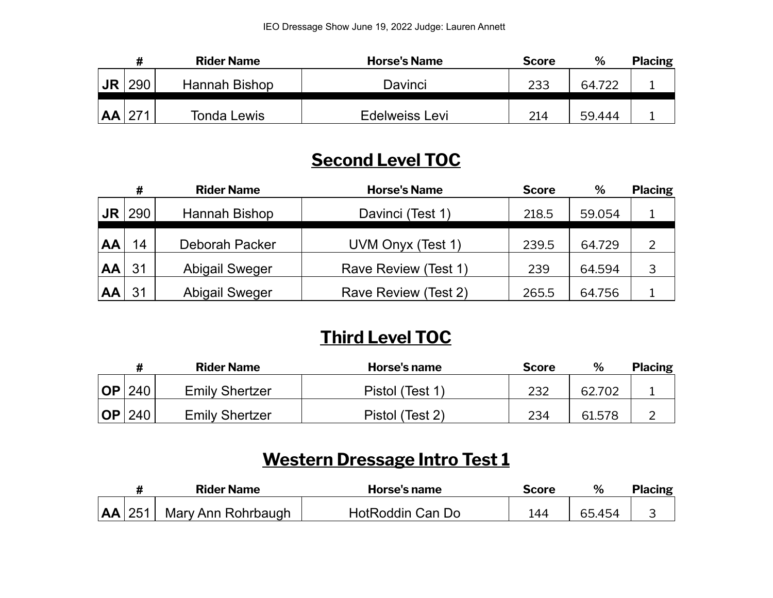|    |     | <b>Rider Name</b>  | <b>Horse's Name</b> | <b>Score</b> | %      | <b>Placing</b> |
|----|-----|--------------------|---------------------|--------------|--------|----------------|
| JR | 290 | Hannah Bishop      | Davinci             | 233          | 64.722 |                |
| AA |     | <b>Tonda Lewis</b> | Edelweiss Levi      | 214          | 59.444 |                |

### **Second Level TOC**

|           | #   | <b>Rider Name</b>     | <b>Horse's Name</b>  | <b>Score</b> | %      | <b>Placing</b> |
|-----------|-----|-----------------------|----------------------|--------------|--------|----------------|
| <b>JR</b> | 290 | Hannah Bishop         | Davinci (Test 1)     | 218.5        | 59.054 |                |
| AA        | 14  | Deborah Packer        | UVM Onyx (Test 1)    | 239.5        | 64.729 | 2              |
| AA        | 31  | <b>Abigail Sweger</b> | Rave Review (Test 1) | 239          | 64.594 | 3              |
| AA        | 31  | <b>Abigail Sweger</b> | Rave Review (Test 2) | 265.5        | 64.756 |                |

#### **Third Level TOC**

|            |     | <b>Rider Name</b>     | Horse's name    | <b>Score</b> | %      | <b>Placing</b> |
|------------|-----|-----------------------|-----------------|--------------|--------|----------------|
| <b>IOP</b> | 240 | <b>Emily Shertzer</b> | Pistol (Test 1) | 232          | 62.702 |                |
| <b>OP</b>  | 240 | <b>Emily Shertzer</b> | Pistol (Test 2) | 234          | 61.578 |                |

### **Western Dressage Intro Test 1**

|          | <b>Rider Name</b>  | Horse's name     | <b>Score</b> | $\alpha$ | <b>Placing</b> |
|----------|--------------------|------------------|--------------|----------|----------------|
| $AA$ 251 | Mary Ann Rohrbaugh | HotRoddin Can Do | 144          | 65.454   |                |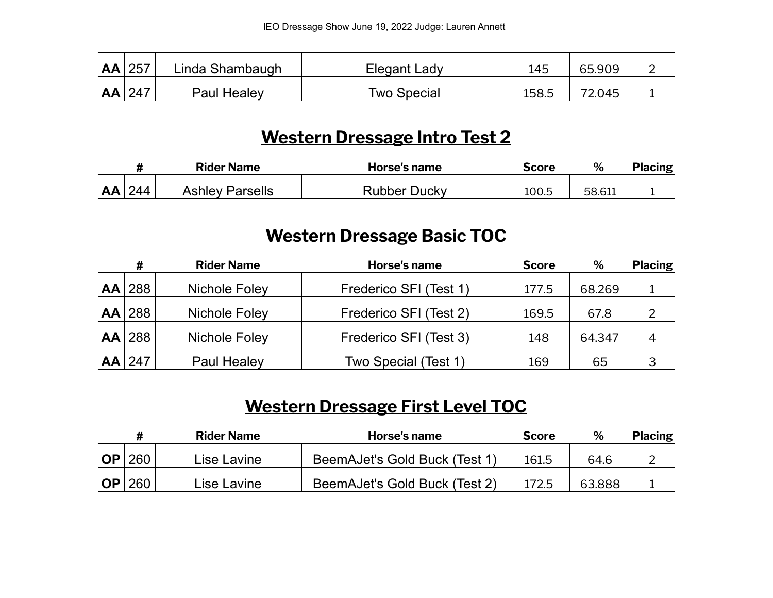| $ AA $ 257 | Linda Shambaugh | Elegant Lady | 145   | 65.909 |  |
|------------|-----------------|--------------|-------|--------|--|
| AA 247     | Paul Healey     | Two Special  | 158.5 | 72.045 |  |

#### **Western Dressage Intro Test 2**

|           |     | <b>Rider Name</b>      | Horse's name | Score | $\%$   | <b>Placing</b> |
|-----------|-----|------------------------|--------------|-------|--------|----------------|
| <b>AA</b> | 244 | <b>Ashley Parsells</b> | Rubber Ducky | 100.5 | 58.611 |                |

#### **Western Dressage Basic TOC**

|           | #          | <b>Rider Name</b> | Horse's name           | <b>Score</b> | %      | <b>Placing</b> |
|-----------|------------|-------------------|------------------------|--------------|--------|----------------|
| <b>AA</b> | 288        | Nichole Foley     | Frederico SFI (Test 1) | 177.5        | 68.269 |                |
|           | $AA$   288 | Nichole Foley     | Frederico SFI (Test 2) | 169.5        | 67.8   |                |
|           | $AA$   288 | Nichole Foley     | Frederico SFI (Test 3) | 148          | 64.347 | 4              |
| <b>AA</b> | 247        | Paul Healey       | Two Special (Test 1)   | 169          | 65     | 3              |

## **Western Dressage First Level TOC**

|            |     | <b>Rider Name</b> | Horse's name                  | <b>Score</b> | %      | <b>Placing</b> |
|------------|-----|-------------------|-------------------------------|--------------|--------|----------------|
| <b>IOP</b> | 260 | Lise Lavine       | BeemAJet's Gold Buck (Test 1) | 161.5        | 64.6   |                |
| <b>IOP</b> | 260 | Lise Lavine       | BeemAJet's Gold Buck (Test 2) | 172.5        | 63.888 |                |